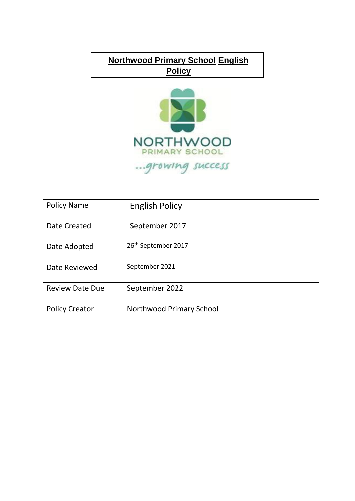# **Northwood Primary School English Policy**



| <b>Policy Name</b>     | <b>English Policy</b>           |
|------------------------|---------------------------------|
| <b>Date Created</b>    | September 2017                  |
| Date Adopted           | 26 <sup>th</sup> September 2017 |
| Date Reviewed          | September 2021                  |
| <b>Review Date Due</b> | September 2022                  |
| <b>Policy Creator</b>  | Northwood Primary School        |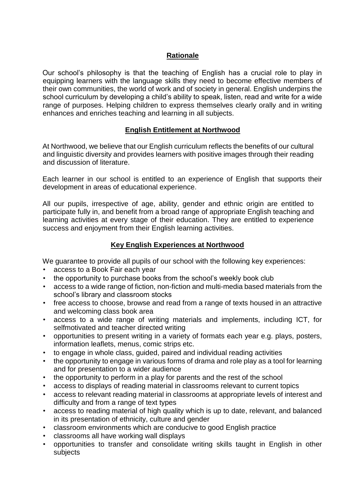# **Rationale**

Our school's philosophy is that the teaching of English has a crucial role to play in equipping learners with the language skills they need to become effective members of their own communities, the world of work and of society in general. English underpins the school curriculum by developing a child's ability to speak, listen, read and write for a wide range of purposes. Helping children to express themselves clearly orally and in writing enhances and enriches teaching and learning in all subjects.

# **English Entitlement at Northwood**

At Northwood, we believe that our English curriculum reflects the benefits of our cultural and linguistic diversity and provides learners with positive images through their reading and discussion of literature.

Each learner in our school is entitled to an experience of English that supports their development in areas of educational experience.

All our pupils, irrespective of age, ability, gender and ethnic origin are entitled to participate fully in, and benefit from a broad range of appropriate English teaching and learning activities at every stage of their education. They are entitled to experience success and enjoyment from their English learning activities.

## **Key English Experiences at Northwood**

We guarantee to provide all pupils of our school with the following key experiences:

- access to a Book Fair each year
- the opportunity to purchase books from the school's weekly book club
- access to a wide range of fiction, non-fiction and multi-media based materials from the school's library and classroom stocks
- free access to choose, browse and read from a range of texts housed in an attractive and welcoming class book area
- access to a wide range of writing materials and implements, including ICT, for selfmotivated and teacher directed writing
- opportunities to present writing in a variety of formats each year e.g. plays, posters, information leaflets, menus, comic strips etc.
- to engage in whole class, guided, paired and individual reading activities
- the opportunity to engage in various forms of drama and role play as a tool for learning and for presentation to a wider audience
- the opportunity to perform in a play for parents and the rest of the school
- access to displays of reading material in classrooms relevant to current topics
- access to relevant reading material in classrooms at appropriate levels of interest and difficulty and from a range of text types
- access to reading material of high quality which is up to date, relevant, and balanced in its presentation of ethnicity, culture and gender
- classroom environments which are conducive to good English practice
- classrooms all have working wall displays
- opportunities to transfer and consolidate writing skills taught in English in other subjects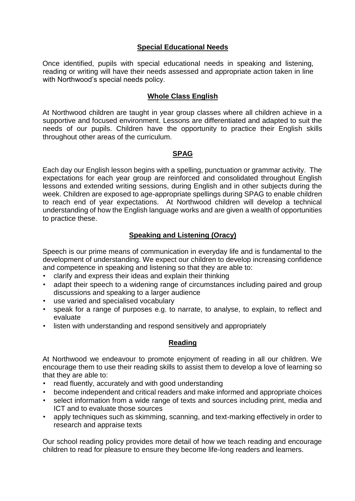## **Special Educational Needs**

Once identified, pupils with special educational needs in speaking and listening, reading or writing will have their needs assessed and appropriate action taken in line with Northwood's special needs policy.

# **Whole Class English**

At Northwood children are taught in year group classes where all children achieve in a supportive and focused environment. Lessons are differentiated and adapted to suit the needs of our pupils. Children have the opportunity to practice their English skills throughout other areas of the curriculum.

## **SPAG**

Each day our English lesson begins with a spelling, punctuation or grammar activity. The expectations for each year group are reinforced and consolidated throughout English lessons and extended writing sessions, during English and in other subjects during the week. Children are exposed to age-appropriate spellings during SPAG to enable children to reach end of year expectations. At Northwood children will develop a technical understanding of how the English language works and are given a wealth of opportunities to practice these.

## **Speaking and Listening (Oracy)**

Speech is our prime means of communication in everyday life and is fundamental to the development of understanding. We expect our children to develop increasing confidence and competence in speaking and listening so that they are able to:

- clarify and express their ideas and explain their thinking
- adapt their speech to a widening range of circumstances including paired and group discussions and speaking to a larger audience
- use varied and specialised vocabulary
- speak for a range of purposes e.g. to narrate, to analyse, to explain, to reflect and evaluate
- listen with understanding and respond sensitively and appropriately

#### **Reading**

At Northwood we endeavour to promote enjoyment of reading in all our children. We encourage them to use their reading skills to assist them to develop a love of learning so that they are able to:

- read fluently, accurately and with good understanding
- become independent and critical readers and make informed and appropriate choices
- select information from a wide range of texts and sources including print, media and ICT and to evaluate those sources
- apply techniques such as skimming, scanning, and text-marking effectively in order to research and appraise texts

Our school reading policy provides more detail of how we teach reading and encourage children to read for pleasure to ensure they become life-long readers and learners.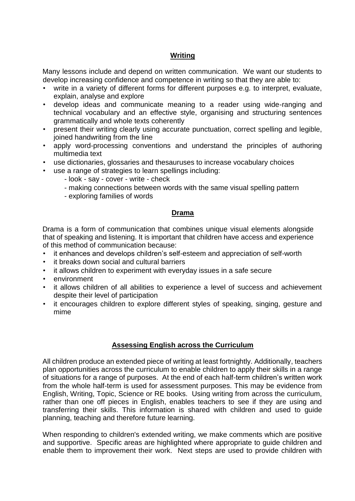#### **Writing**

Many lessons include and depend on written communication. We want our students to develop increasing confidence and competence in writing so that they are able to:

- write in a variety of different forms for different purposes e.g. to interpret, evaluate, explain, analyse and explore
- develop ideas and communicate meaning to a reader using wide-ranging and technical vocabulary and an effective style, organising and structuring sentences grammatically and whole texts coherently
- present their writing clearly using accurate punctuation, correct spelling and legible, joined handwriting from the line
- apply word-processing conventions and understand the principles of authoring multimedia text
- use dictionaries, glossaries and thesauruses to increase vocabulary choices
- use a range of strategies to learn spellings including:
	- look say cover write check
	- making connections between words with the same visual spelling pattern
	- exploring families of words

## **Drama**

Drama is a form of communication that combines unique visual elements alongside that of speaking and listening. It is important that children have access and experience of this method of communication because:

- it enhances and develops children's self-esteem and appreciation of self-worth
- it breaks down social and cultural barriers
- it allows children to experiment with everyday issues in a safe secure
- environment
- it allows children of all abilities to experience a level of success and achievement despite their level of participation
- it encourages children to explore different styles of speaking, singing, gesture and mime

# **Assessing English across the Curriculum**

All children produce an extended piece of writing at least fortnightly. Additionally, teachers plan opportunities across the curriculum to enable children to apply their skills in a range of situations for a range of purposes. At the end of each half-term children's written work from the whole half-term is used for assessment purposes. This may be evidence from English, Writing, Topic, Science or RE books. Using writing from across the curriculum, rather than one off pieces in English, enables teachers to see if they are using and transferring their skills. This information is shared with children and used to guide planning, teaching and therefore future learning.

When responding to children's extended writing, we make comments which are positive and supportive. Specific areas are highlighted where appropriate to guide children and enable them to improvement their work. Next steps are used to provide children with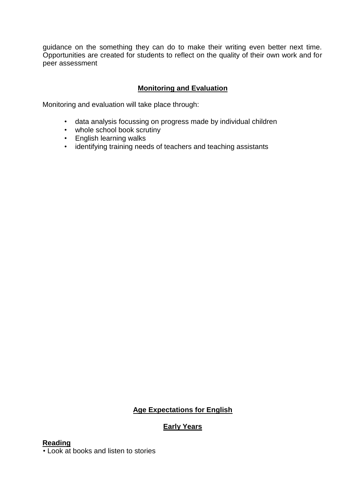guidance on the something they can do to make their writing even better next time. Opportunities are created for students to reflect on the quality of their own work and for peer assessment

# **Monitoring and Evaluation**

Monitoring and evaluation will take place through:

- data analysis focussing on progress made by individual children
- whole school book scrutiny
- English learning walks
- identifying training needs of teachers and teaching assistants

# **Age Expectations for English**

# **Early Years**

#### **Reading**

• Look at books and listen to stories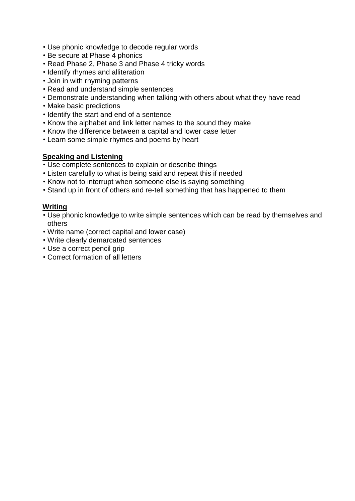- Use phonic knowledge to decode regular words
- Be secure at Phase 4 phonics
- Read Phase 2, Phase 3 and Phase 4 tricky words
- Identify rhymes and alliteration
- Join in with rhyming patterns
- Read and understand simple sentences
- Demonstrate understanding when talking with others about what they have read
- Make basic predictions
- Identify the start and end of a sentence
- Know the alphabet and link letter names to the sound they make
- Know the difference between a capital and lower case letter
- Learn some simple rhymes and poems by heart

## **Speaking and Listening**

- Use complete sentences to explain or describe things
- Listen carefully to what is being said and repeat this if needed
- Know not to interrupt when someone else is saying something
- Stand up in front of others and re-tell something that has happened to them

#### **Writing**

- Use phonic knowledge to write simple sentences which can be read by themselves and others
- Write name (correct capital and lower case)
- Write clearly demarcated sentences
- Use a correct pencil grip
- Correct formation of all letters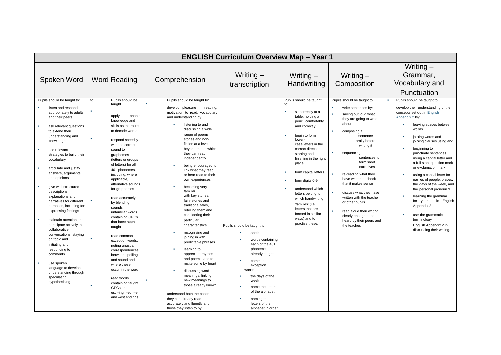|                                                                                                                                                                                                                                                                                                                                                                                                                                                                                                                                                                                                                                                                                                                                              | <b>ENGLISH Curriculum Overview Map - Year 1</b>                                                                                                                                                                                                                                                                                                                                                                                                                                                                                                                                                                                                                                                    |                                                                                                                                                                                                                                                                                                                                                                                                                                                                                                                                                                                                                                                                                                                                                                                                                                                                                      |                                                                                                                                                                                                                                               |                                                                                                                                                                                                                                                                                                                                                                                                                                                                         |                                                                                                                                                                                                                                                                                                                                                                                                                                                                                     |                                                                                                                                                                                                                                                                                                                                                                                                                                                                                                                                                                                                                              |  |  |  |  |  |  |
|----------------------------------------------------------------------------------------------------------------------------------------------------------------------------------------------------------------------------------------------------------------------------------------------------------------------------------------------------------------------------------------------------------------------------------------------------------------------------------------------------------------------------------------------------------------------------------------------------------------------------------------------------------------------------------------------------------------------------------------------|----------------------------------------------------------------------------------------------------------------------------------------------------------------------------------------------------------------------------------------------------------------------------------------------------------------------------------------------------------------------------------------------------------------------------------------------------------------------------------------------------------------------------------------------------------------------------------------------------------------------------------------------------------------------------------------------------|--------------------------------------------------------------------------------------------------------------------------------------------------------------------------------------------------------------------------------------------------------------------------------------------------------------------------------------------------------------------------------------------------------------------------------------------------------------------------------------------------------------------------------------------------------------------------------------------------------------------------------------------------------------------------------------------------------------------------------------------------------------------------------------------------------------------------------------------------------------------------------------|-----------------------------------------------------------------------------------------------------------------------------------------------------------------------------------------------------------------------------------------------|-------------------------------------------------------------------------------------------------------------------------------------------------------------------------------------------------------------------------------------------------------------------------------------------------------------------------------------------------------------------------------------------------------------------------------------------------------------------------|-------------------------------------------------------------------------------------------------------------------------------------------------------------------------------------------------------------------------------------------------------------------------------------------------------------------------------------------------------------------------------------------------------------------------------------------------------------------------------------|------------------------------------------------------------------------------------------------------------------------------------------------------------------------------------------------------------------------------------------------------------------------------------------------------------------------------------------------------------------------------------------------------------------------------------------------------------------------------------------------------------------------------------------------------------------------------------------------------------------------------|--|--|--|--|--|--|
| Spoken Word                                                                                                                                                                                                                                                                                                                                                                                                                                                                                                                                                                                                                                                                                                                                  | <b>Word Reading</b>                                                                                                                                                                                                                                                                                                                                                                                                                                                                                                                                                                                                                                                                                | Comprehension                                                                                                                                                                                                                                                                                                                                                                                                                                                                                                                                                                                                                                                                                                                                                                                                                                                                        | Writing $-$<br>transcription                                                                                                                                                                                                                  | Writing $-$<br>Handwriting                                                                                                                                                                                                                                                                                                                                                                                                                                              | Writing $-$<br>Composition                                                                                                                                                                                                                                                                                                                                                                                                                                                          | Writing $-$<br>Grammar,<br>Vocabulary and<br>Punctuation                                                                                                                                                                                                                                                                                                                                                                                                                                                                                                                                                                     |  |  |  |  |  |  |
| Pupils should be taught to:<br>listen and respond<br>٠<br>appropriately to adults<br>and their peers<br>٠<br>ask relevant questions<br>to extend their<br>understanding and<br>knowledge<br>٠<br>use relevant<br>strategies to build their<br>vocabulary<br>×<br>articulate and justify<br>answers, arguments<br>and opinions<br>give well-structured<br>descriptions,<br>explanations and<br>narratives for different<br>purposes, including for<br>expressing feelings<br>٠<br>maintain attention and<br>participate actively in<br>collaborative<br>conversations, staying<br>on topic and<br>initiating and<br>responding to<br>comments<br>use spoken<br>language to develop<br>understanding through<br>speculating,<br>hypothesising, | to:<br>Pupils should be<br>taught<br>phonic<br>apply<br>knowledge and<br>skills as the route<br>to decode words<br>respond speedily<br>with the correct<br>sound to<br>graphemes<br>(letters or groups)<br>of letters) for all<br>40+ phonemes,<br>including, where<br>applicable,<br>alternative sounds<br>for graphemes<br>read accurately<br>by blending<br>sounds in<br>unfamiliar words<br>containing GPCs<br>that have been<br>taught<br>read common<br>exception words,<br>noting unusual<br>correspondences<br>between spelling<br>and sound and<br>where these<br>occur in the word<br>read words<br>containing taught<br>$GPCs$ and $-s$ , $-$<br>es, -ing, -ed, -er<br>and -est endings | Pupils should be taught to:<br>a,<br>develop pleasure in reading,<br>motivation to read, vocabulary<br>and understanding by:<br>listening to and<br>discussing a wide<br>range of poems,<br>stories and non-<br>fiction at a level<br>beyond that at which<br>they can read<br>independently<br>being encouraged to<br>link what they read<br>or hear read to their<br>own experiences<br>becoming very<br>familiar<br>with key stories,<br>fairy stories and<br>traditional tales,<br>retelling them and<br>considering their<br>particular<br>characteristics<br>recognising and<br>joining in with<br>predictable phrases<br>learning to<br>appreciate rhymes<br>and poems, and to<br>recite some by heart<br>discussing word<br>meanings, linking<br>new meanings to<br>those already known<br>understand both the books<br>they can already read<br>accurately and fluently and | Pupils should be taught to:<br>spell:<br>words containing<br>each of the 40+<br>phonemes<br>already taught<br>common<br>exception<br>words<br>the days of the<br>week<br>name the letters<br>of the alphabet:<br>naming the<br>letters of the | Pupils should be taught<br>to:<br>×<br>sit correctly at a<br>table, holding a<br>pencil comfortably<br>and correctly<br>begin to form<br>٠<br>lower-<br>case letters in the<br>correct direction.<br>starting and<br>finishing in the right<br>place<br>form capital letters<br>٠<br>form digits 0-9<br>×<br>understand which<br>letters belong to<br>which handwriting<br>'families' (i.e.<br>letters that are<br>formed in similar<br>ways) and to<br>practise these. | Pupils should be taught to:<br>write sentences by:<br>saying out loud what<br>they are going to write<br>about<br>composing a<br>sentence<br>orally before<br>writing it<br>sequencing<br>sentences to<br>form short<br>narratives<br>re-reading what they<br>have written to check<br>that it makes sense<br>discuss what they have<br>written with the teacher<br>or other pupils<br>read aloud their writing<br>clearly enough to be<br>heard by their peers and<br>the teacher. | Pupils should be taught to:<br>develop their understanding of the<br>concepts set out in English<br>Appendix 2 by:<br>leaving spaces between<br>٠<br>words<br>joining words and<br>٠<br>joining clauses using and<br>beginning to<br>punctuate sentences<br>using a capital letter and<br>a full stop, question mark<br>or exclamation mark<br>using a capital letter for<br>names of people, places,<br>the days of the week, and<br>the personal pronoun 'l'<br>learning the grammar<br>for year 1 in English<br>Appendix 2<br>use the grammatical<br>terminology in<br>English Appendix 2 in<br>discussing their writing. |  |  |  |  |  |  |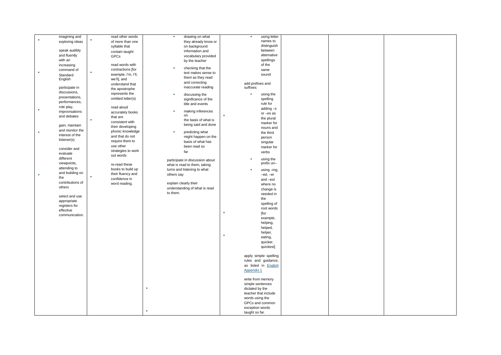| imagining and        |   | read other words    | <b>B</b>   | drawing on what                 |    | ×                | using letter                |  |  |
|----------------------|---|---------------------|------------|---------------------------------|----|------------------|-----------------------------|--|--|
| exploring ideas      |   | of more than one    |            | they already know or            |    |                  | names to                    |  |  |
|                      |   |                     |            |                                 |    |                  | distinguish                 |  |  |
|                      |   | syllable that       |            | on background                   |    |                  | between                     |  |  |
| speak audibly        |   | contain taught      |            | information and                 |    |                  |                             |  |  |
| and fluently         |   | GPCs                |            | vocabulary provided             |    |                  | alternative                 |  |  |
| with an              |   |                     |            | by the teacher                  |    |                  | spellings                   |  |  |
| increasing           |   | read words with     |            |                                 |    |                  | of the                      |  |  |
| command of           |   | contractions [for   | <b>COL</b> | checking that the               |    |                  |                             |  |  |
|                      | ٠ |                     |            | text makes sense to             |    |                  | same                        |  |  |
| Standard             |   | example, I'm, I'll, |            |                                 |    |                  | sound                       |  |  |
| English              |   | we'll], and         |            | them as they read               |    |                  |                             |  |  |
|                      |   | understand that     |            | and correcting                  |    | add prefixes and |                             |  |  |
| participate in       |   | the apostrophe      |            | inaccurate reading              |    | suffixes:        |                             |  |  |
| discussions,         |   |                     |            |                                 |    |                  |                             |  |  |
|                      |   | represents the      |            | discussing the                  |    | ٠                | using the                   |  |  |
| presentations,       |   | omitted letter(s)   |            | significance of the             |    |                  | spelling                    |  |  |
| performances,        |   |                     |            | title and events                |    |                  | rule for                    |  |  |
| role play,           |   | read aloud          |            |                                 |    |                  |                             |  |  |
| ×<br>improvisations  |   |                     |            | making inferences               |    |                  | adding $-s$                 |  |  |
|                      |   | accurately books    |            | on                              | ×, |                  | or-es as                    |  |  |
| and debates          |   | that are            |            |                                 |    |                  | the plural                  |  |  |
|                      |   | consistent with     |            | the basis of what is            |    |                  | marker for                  |  |  |
| gain, maintain       |   | their developing    |            | being said and done             |    |                  |                             |  |  |
| and monitor the      |   |                     |            |                                 |    |                  | nouns and                   |  |  |
|                      |   | phonic knowledge    |            | predicting what                 |    |                  | the third                   |  |  |
| interest of the      |   | and that do not     |            | might happen on the             |    |                  | person                      |  |  |
| listener(s)          |   | require them to     |            | basis of what has               |    |                  |                             |  |  |
|                      |   | use other           |            |                                 |    |                  | singular                    |  |  |
| consider and         |   |                     |            | been read so                    |    |                  | marker for                  |  |  |
| evaluate             |   | strategies to work  |            | far                             |    |                  | verbs                       |  |  |
|                      |   | out words           |            |                                 |    |                  |                             |  |  |
| different            |   |                     |            | participate in discussion about |    | ٠                | using the                   |  |  |
| viewpoints,          |   | re-read these       |            | what is read to them, taking    |    |                  | prefix un-                  |  |  |
| attending to         |   |                     |            |                                 |    |                  |                             |  |  |
|                      |   | books to build up   |            | turns and listening to what     |    | ٠                | using -ing,                 |  |  |
| and building on<br>٠ |   | their fluency and   | others say |                                 |    |                  | -ed, -er                    |  |  |
| the                  |   | confidence in       |            |                                 |    |                  | and -est                    |  |  |
| contributions of     |   | word reading.       |            | explain clearly their           |    |                  |                             |  |  |
| others               |   |                     |            |                                 |    |                  | where no                    |  |  |
|                      |   |                     |            | understanding of what is read   |    |                  | change is                   |  |  |
|                      |   |                     | to them.   |                                 |    |                  | needed in                   |  |  |
| select and use       |   |                     |            |                                 |    |                  | the                         |  |  |
| appropriate          |   |                     |            |                                 |    |                  |                             |  |  |
| registers for        |   |                     |            |                                 |    |                  | spelling of                 |  |  |
| effective            |   |                     |            |                                 |    |                  | root words                  |  |  |
|                      |   |                     |            |                                 | ×  |                  | [for                        |  |  |
| communication        |   |                     |            |                                 |    |                  | example,                    |  |  |
|                      |   |                     |            |                                 |    |                  |                             |  |  |
|                      |   |                     |            |                                 |    |                  | helping,                    |  |  |
|                      |   |                     |            |                                 |    |                  | helped,                     |  |  |
|                      |   |                     |            |                                 |    |                  | helper,                     |  |  |
|                      |   |                     |            |                                 | ×  |                  | eating,                     |  |  |
|                      |   |                     |            |                                 |    |                  |                             |  |  |
|                      |   |                     |            |                                 |    |                  | quicker,                    |  |  |
|                      |   |                     |            |                                 |    |                  | quickest]                   |  |  |
|                      |   |                     |            |                                 |    |                  |                             |  |  |
|                      |   |                     |            |                                 |    |                  | apply simple spelling       |  |  |
|                      |   |                     |            |                                 |    |                  |                             |  |  |
|                      |   |                     |            |                                 |    |                  | rules and guidance,         |  |  |
|                      |   |                     |            |                                 |    |                  | as listed in <b>English</b> |  |  |
|                      |   |                     |            |                                 |    | Appendix 1       |                             |  |  |
|                      |   |                     |            |                                 |    |                  |                             |  |  |
|                      |   |                     |            |                                 |    |                  | write from memory           |  |  |
|                      |   |                     |            |                                 |    | simple sentences |                             |  |  |
|                      |   |                     |            |                                 |    |                  |                             |  |  |
|                      |   |                     |            |                                 |    | dictated by the  |                             |  |  |
|                      |   |                     |            |                                 |    |                  | teacher that include        |  |  |
|                      |   |                     |            |                                 |    | words using the  |                             |  |  |
|                      |   |                     |            |                                 |    |                  | GPCs and common             |  |  |
|                      |   |                     |            |                                 |    |                  |                             |  |  |
|                      |   |                     |            |                                 |    | exception words  |                             |  |  |
|                      |   |                     |            |                                 |    | taught so far.   |                             |  |  |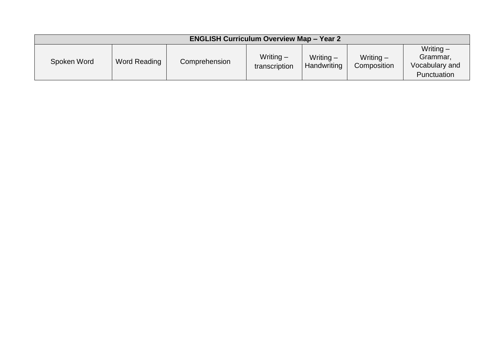| <b>ENGLISH Curriculum Overview Map - Year 2</b> |              |               |                              |                            |                            |                                                          |  |  |  |
|-------------------------------------------------|--------------|---------------|------------------------------|----------------------------|----------------------------|----------------------------------------------------------|--|--|--|
| Spoken Word                                     | Word Reading | Comprehension | Writing $-$<br>transcription | Writing $-$<br>Handwriting | Writing $-$<br>Composition | Writing $-$<br>Grammar,<br>Vocabulary and<br>Punctuation |  |  |  |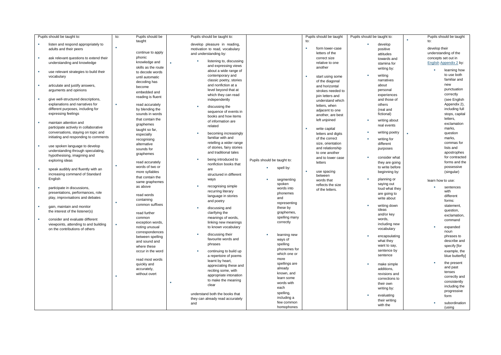| Pupils should be taught to:                                             | to: | Pupils should be                   | Pupils should be taught to:      |                             |                | Pupils should be taught | Pupils should be taught to: |                              |                   | Pupils should be taught        |
|-------------------------------------------------------------------------|-----|------------------------------------|----------------------------------|-----------------------------|----------------|-------------------------|-----------------------------|------------------------------|-------------------|--------------------------------|
| listen and respond appropriately to                                     |     | taught                             | develop pleasure in reading,     |                             |                | to:                     |                             | develop                      | to:               |                                |
| adults and their peers                                                  |     |                                    | motivation to read, vocabulary   |                             | ٠              | form lower-case         |                             | positive                     | develop their     |                                |
|                                                                         |     | continue to apply                  | and understanding by:            |                             |                | letters of the          |                             | attitudes                    |                   | understanding of the           |
| ٠<br>ask relevant questions to extend their                             |     | phonic                             |                                  |                             |                | correct size            |                             | towards and                  |                   | concepts set out in            |
| understanding and knowledge                                             |     | knowledge and                      | ×<br>listening to, discussing    |                             |                | relative to one         |                             | stamina for                  |                   | <b>English Appendix 2 by:</b>  |
|                                                                         |     | skills as the route                | and expressing views             |                             |                | another                 |                             | writing by:                  |                   |                                |
| ٠<br>use relevant strategies to build their                             |     | to decode words                    | about a wide range of            |                             |                |                         |                             |                              |                   | learning how                   |
| vocabulary                                                              |     | until automatic                    | contemporary and                 |                             | $\blacksquare$ | start using some        | a,                          | writing                      |                   | to use both<br>familiar and    |
|                                                                         |     | decoding has                       | classic poetry, stories          |                             |                | of the diagonal         |                             | narratives                   |                   |                                |
| articulate and justify answers,<br>٠                                    |     | become                             | and nonfiction at a              |                             |                | and horizontal          |                             | about                        |                   | new<br>punctuation             |
| arguments and opinions                                                  |     | embedded and                       | level beyond that at             |                             |                | strokes needed to       |                             | personal                     |                   |                                |
| ٠<br>give well-structured descriptions,                                 |     | reading is fluent                  | which they can read              |                             |                | join letters and        |                             | experiences                  |                   | correctly                      |
| explanations and narratives for                                         | ٠   |                                    | independently                    |                             |                | understand which        |                             | and those of                 |                   | (see English                   |
| different purposes, including for                                       |     | read accurately                    | discussing the<br>×              |                             |                | letters, when           |                             | others                       |                   | Appendix 2),<br>including full |
| expressing feelings                                                     |     | by blending the<br>sounds in words | sequence of events in            |                             |                | adjacent to one         |                             | (real and<br>fictional)      |                   | stops, capital                 |
|                                                                         |     |                                    | books and how items              |                             |                | another, are best       |                             |                              |                   | letters,                       |
| ٠<br>maintain attention and                                             |     | that contain the                   | of information are               |                             |                | left unjoined           | ×                           | writing about                |                   | exclamation                    |
| participate actively in collaborative                                   |     | graphemes                          | related                          |                             | $\blacksquare$ | write capital           |                             | real events                  |                   | marks,                         |
| conversations, staying on topic and                                     |     | taught so far,                     | becoming increasingly            |                             |                | letters and digits      |                             | writing poetry               |                   | question                       |
| initiating and responding to comments                                   |     | especially                         | familiar with and                |                             |                | of the correct          |                             |                              |                   | marks,                         |
|                                                                         |     | recognising                        | retelling a wider range          |                             |                | size, orientation       |                             | writing for<br>different     |                   | commas for                     |
| ٠<br>use spoken language to develop                                     |     | alternative                        | of stories, fairy stories        |                             |                | and relationship        |                             | purposes                     |                   | lists and                      |
| understanding through speculating,                                      |     | sounds for<br>graphemes            | and traditional tales            |                             |                | to one another          |                             |                              |                   | apostrophes                    |
| hypothesising, imagining and                                            |     |                                    |                                  |                             |                | and to lower case       |                             | consider what                |                   | for contracted                 |
| exploring ideas                                                         |     | read accurately                    | being introduced to              | Pupils should be taught to: |                | letters                 |                             | they are going               |                   | forms and the                  |
|                                                                         | ٠   | words of two or                    | nonfiction books that            | spell by:                   |                |                         |                             | to write before              |                   | possessive                     |
| ×.<br>speak audibly and fluently with an                                |     | more syllables                     | are                              |                             | $\blacksquare$ | use spacing             |                             | beginning by:                |                   | (singular)                     |
| increasing command of Standard                                          |     | that contain the                   | structured in different          |                             |                | between                 |                             |                              |                   |                                |
| English                                                                 |     | same graphemes                     | ways                             | segmenting<br>spoken        |                | words that              |                             | planning or                  | learn how to use: |                                |
| ٠<br>participate in discussions,                                        |     | as above                           | recognising simple               | words into                  |                | reflects the size       |                             | saying out<br>loud what they |                   | sentences                      |
| presentations, performances, role                                       |     |                                    | recurring literary               | phonemes                    |                | of the letters.         |                             | are going to                 |                   | with                           |
| play, improvisations and debates                                        |     | read words                         | language in stories              | and                         |                |                         |                             | write about                  |                   | different                      |
|                                                                         | F   | containing                         | and poetry                       | representing                |                |                         |                             |                              |                   | forms:                         |
| gain, maintain and monitor<br>٠                                         |     | common suffixes                    | discussing and                   | these by                    |                |                         |                             | writing down                 |                   | statement,                     |
| the interest of the listener(s)                                         |     | read further                       | clarifying the                   | graphemes,                  |                |                         |                             | ideas                        |                   | question,                      |
|                                                                         |     | common                             | meanings of words,               | spelling many               |                |                         |                             | and/or key                   |                   | exclamation.                   |
| consider and evaluate different<br>٠                                    |     | exception words,                   | linking new meanings             | correctly                   |                |                         |                             | words,                       |                   | command                        |
| viewpoints, attending to and building<br>on the contributions of others | ٠   | noting unusual                     | to known vocabulary              |                             |                |                         |                             | including new<br>vocabulary  |                   | expanded                       |
|                                                                         |     | correspondences                    |                                  |                             |                |                         |                             |                              |                   | noun                           |
|                                                                         |     | between spelling                   | discussing their                 | learning new                |                |                         | ٠                           | encapsulating                |                   | phrases to                     |
|                                                                         |     | and sound and                      | favourite words and<br>phrases   | ways of                     |                |                         |                             | what they                    |                   | describe and                   |
|                                                                         |     | where these                        |                                  | spelling<br>phonemes for    |                |                         |                             | want to say,                 |                   | specify [for                   |
|                                                                         |     | occur in the word                  | continuing to build up<br>×      | which one or                |                |                         |                             | sentence by                  |                   | example, the                   |
|                                                                         |     |                                    | a repertoire of poems            | more                        |                |                         |                             | sentence                     |                   | blue butterfly]                |
|                                                                         |     | read most words                    | learnt by heart,                 | spellings are               |                |                         |                             |                              |                   | the present                    |
|                                                                         |     | quickly and                        | appreciating these and           | already                     |                |                         |                             | make simple<br>additions.    |                   | and past                       |
|                                                                         |     | accurately,<br>without overt       | reciting some, with              | known, and                  |                |                         |                             | revisions and                |                   | tenses                         |
|                                                                         | ٠   |                                    | appropriate intonation           | learn some                  |                |                         |                             | corrections to               |                   | correctly and                  |
|                                                                         |     |                                    | to make the meaning              | words with                  |                |                         |                             | their own                    |                   | consistently                   |
|                                                                         |     |                                    | clear                            | each                        |                |                         |                             | writing by:                  |                   | including the                  |
|                                                                         |     |                                    | understand both the books that   | spelling,                   |                |                         |                             |                              |                   | progressive                    |
|                                                                         |     |                                    | they can already read accurately | including a                 |                |                         |                             | evaluating                   |                   | form                           |
|                                                                         |     |                                    | and                              | few common                  |                |                         |                             | their writing                |                   | subordination                  |
|                                                                         |     |                                    |                                  | homophones                  |                |                         |                             | with the                     |                   | (using                         |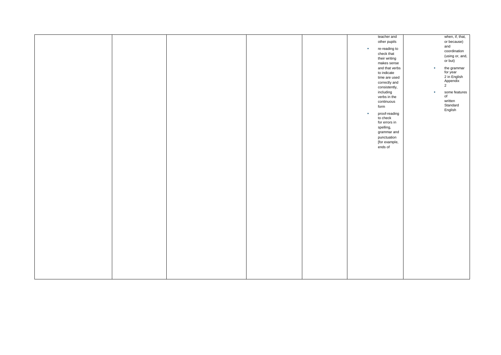|  |  |              | teacher and    |              | when, if, that, |
|--|--|--------------|----------------|--------------|-----------------|
|  |  |              | other pupils   |              | or because)     |
|  |  |              |                |              | and             |
|  |  | $\mathbf{u}$ | re-reading to  |              | coordination    |
|  |  |              | check that     |              | (using or, and, |
|  |  |              | their writing  |              |                 |
|  |  |              | makes sense    |              | or but)         |
|  |  |              | and that verbs | $\mathbf{r}$ | the grammar     |
|  |  |              | to indicate    |              | for year        |
|  |  |              |                |              |                 |
|  |  |              | time are used  |              | 2 in English    |
|  |  |              | correctly and  |              | Appendix        |
|  |  |              | consistently,  |              | $2^{1}$         |
|  |  |              | including      | $\sim$       | some features   |
|  |  |              | verbs in the   |              | of              |
|  |  |              |                |              | written         |
|  |  |              | continuous     |              | Standard        |
|  |  |              | form           |              |                 |
|  |  | ×            |                |              | English         |
|  |  |              | proof-reading  |              |                 |
|  |  |              | to check       |              |                 |
|  |  |              | for errors in  |              |                 |
|  |  |              | spelling,      |              |                 |
|  |  |              | grammar and    |              |                 |
|  |  |              | punctuation    |              |                 |
|  |  |              | [for example,  |              |                 |
|  |  |              |                |              |                 |
|  |  |              | ends of        |              |                 |
|  |  |              |                |              |                 |
|  |  |              |                |              |                 |
|  |  |              |                |              |                 |
|  |  |              |                |              |                 |
|  |  |              |                |              |                 |
|  |  |              |                |              |                 |
|  |  |              |                |              |                 |
|  |  |              |                |              |                 |
|  |  |              |                |              |                 |
|  |  |              |                |              |                 |
|  |  |              |                |              |                 |
|  |  |              |                |              |                 |
|  |  |              |                |              |                 |
|  |  |              |                |              |                 |
|  |  |              |                |              |                 |
|  |  |              |                |              |                 |
|  |  |              |                |              |                 |
|  |  |              |                |              |                 |
|  |  |              |                |              |                 |
|  |  |              |                |              |                 |
|  |  |              |                |              |                 |
|  |  |              |                |              |                 |
|  |  |              |                |              |                 |
|  |  |              |                |              |                 |
|  |  |              |                |              |                 |
|  |  |              |                |              |                 |
|  |  |              |                |              |                 |
|  |  |              |                |              |                 |
|  |  |              |                |              |                 |
|  |  |              |                |              |                 |
|  |  |              |                |              |                 |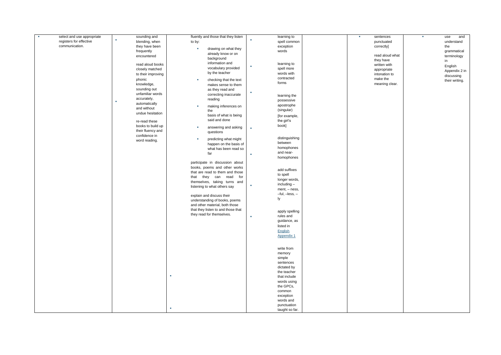| select and use appropriate | sounding and        | fluently and those that they listen | learning to            | sentences<br>$\sim$ | and<br>×<br>use |
|----------------------------|---------------------|-------------------------------------|------------------------|---------------------|-----------------|
| registers for effective    | ٠<br>blending, when | to by:                              | ×<br>spell common      | punctuated          | understand      |
| communication.             | they have been      |                                     | exception              | correctly]          | the             |
|                            | frequently          | drawing on what they                | words                  |                     | grammatical     |
|                            | encountered         | already know or on                  |                        | read aloud what     | terminology     |
|                            |                     | background                          |                        | they have           | in              |
|                            | read aloud books    | information and                     | learning to            | written with        |                 |
|                            | closely matched     | vocabulary provided                 | ٠<br>spell more        | appropriate         | English         |
|                            | to their improving  | by the teacher                      | words with             | intonation to       | Appendix 2 in   |
|                            | phonic              | ×.                                  | contracted             | make the            | discussing      |
|                            | knowledge,          | checking that the text              | forms                  | meaning clear.      | their writing.  |
|                            | sounding out        | makes sense to them                 |                        |                     |                 |
|                            | unfamiliar words    | as they read and                    | ٠                      |                     |                 |
|                            |                     | correcting inaccurate               | learning the           |                     |                 |
|                            | accurately,<br>٠    | reading                             | possessive             |                     |                 |
|                            | automatically       | making inferences on<br>a.          | apostrophe             |                     |                 |
|                            | and without         | the                                 | (singular)             |                     |                 |
|                            | undue hesitation    | basis of what is being              | [for example,          |                     |                 |
|                            | re-read these       | said and done                       | the girl's             |                     |                 |
|                            | books to build up   |                                     | book]                  |                     |                 |
|                            | their fluency and   | answering and asking                | $\alpha$               |                     |                 |
|                            | confidence in       | questions                           |                        |                     |                 |
|                            |                     | predicting what might<br>×          | distinguishing         |                     |                 |
|                            | word reading.       | happen on the basis of              | between                |                     |                 |
|                            |                     | what has been read so               | homophones             |                     |                 |
|                            |                     | far                                 | and near-              |                     |                 |
|                            |                     |                                     | ×<br>homophones        |                     |                 |
|                            |                     | participate in discussion about     |                        |                     |                 |
|                            |                     | books, poems and other works        |                        |                     |                 |
|                            |                     | that are read to them and those     | add suffixes           |                     |                 |
|                            |                     | they can read for<br>that           | to spell               |                     |                 |
|                            |                     | themselves, taking turns and        | longer words,          |                     |                 |
|                            |                     | listening to what others say        | including -<br>×       |                     |                 |
|                            |                     |                                     | ment, - ness,          |                     |                 |
|                            |                     | explain and discuss their           | $-$ ful, $-$ less, $-$ |                     |                 |
|                            |                     | understanding of books, poems       | ly                     |                     |                 |
|                            |                     | and other material, both those      |                        |                     |                 |
|                            |                     | that they listen to and those that  |                        |                     |                 |
|                            |                     |                                     | apply spelling         |                     |                 |
|                            |                     | they read for themselves.           | rules and<br>×         |                     |                 |
|                            |                     |                                     | guidance, as           |                     |                 |
|                            |                     |                                     | listed in              |                     |                 |
|                            |                     |                                     | English                |                     |                 |
|                            |                     |                                     | Appendix 1             |                     |                 |
|                            |                     |                                     |                        |                     |                 |
|                            |                     |                                     |                        |                     |                 |
|                            |                     |                                     | write from             |                     |                 |
|                            |                     |                                     | memory                 |                     |                 |
|                            |                     |                                     | simple                 |                     |                 |
|                            |                     |                                     | sentences              |                     |                 |
|                            |                     |                                     | dictated by            |                     |                 |
|                            |                     |                                     | the teacher            |                     |                 |
|                            |                     |                                     | that include           |                     |                 |
|                            |                     |                                     | words using            |                     |                 |
|                            |                     |                                     | the GPCs,              |                     |                 |
|                            |                     |                                     | common                 |                     |                 |
|                            |                     |                                     | exception              |                     |                 |
|                            |                     |                                     | words and              |                     |                 |
|                            | ٠                   |                                     | punctuation            |                     |                 |
|                            |                     |                                     | taught so far.         |                     |                 |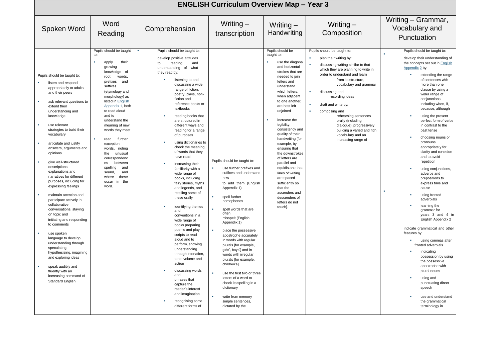|                                                                                                                                                                                                                                                                                                                                                                                                                                                                                                                                                                                                                                                                                                                                                                                                                                                                                                                                                                                                                                                                                                                                                                                                                                                                                                                                                               |                                                                                                                                                                                                                                                                                                                                                                                                                                                                                                                                                                                                                                                                                                                                                                                                                                                                                                                                                                                                            |                                                                                                                                                                                                                                                                                                                                                                                                                                                                                                                                                                                                   | <b>ENGLISH Curriculum Overview Map - Year 3</b>                                                                                                                                                                                                                                                                                                                                                                                                                                                                                                                          |                                                                                                                                                                                                                                                                                                                                                                                                                                                      |                                                                                                                                                                                                                                                                                                                                                                                                                                                                                                                                                                                                                                                                                                                                                                                                                                                                                                                                                                                           |
|---------------------------------------------------------------------------------------------------------------------------------------------------------------------------------------------------------------------------------------------------------------------------------------------------------------------------------------------------------------------------------------------------------------------------------------------------------------------------------------------------------------------------------------------------------------------------------------------------------------------------------------------------------------------------------------------------------------------------------------------------------------------------------------------------------------------------------------------------------------------------------------------------------------------------------------------------------------------------------------------------------------------------------------------------------------------------------------------------------------------------------------------------------------------------------------------------------------------------------------------------------------------------------------------------------------------------------------------------------------|------------------------------------------------------------------------------------------------------------------------------------------------------------------------------------------------------------------------------------------------------------------------------------------------------------------------------------------------------------------------------------------------------------------------------------------------------------------------------------------------------------------------------------------------------------------------------------------------------------------------------------------------------------------------------------------------------------------------------------------------------------------------------------------------------------------------------------------------------------------------------------------------------------------------------------------------------------------------------------------------------------|---------------------------------------------------------------------------------------------------------------------------------------------------------------------------------------------------------------------------------------------------------------------------------------------------------------------------------------------------------------------------------------------------------------------------------------------------------------------------------------------------------------------------------------------------------------------------------------------------|--------------------------------------------------------------------------------------------------------------------------------------------------------------------------------------------------------------------------------------------------------------------------------------------------------------------------------------------------------------------------------------------------------------------------------------------------------------------------------------------------------------------------------------------------------------------------|------------------------------------------------------------------------------------------------------------------------------------------------------------------------------------------------------------------------------------------------------------------------------------------------------------------------------------------------------------------------------------------------------------------------------------------------------|-------------------------------------------------------------------------------------------------------------------------------------------------------------------------------------------------------------------------------------------------------------------------------------------------------------------------------------------------------------------------------------------------------------------------------------------------------------------------------------------------------------------------------------------------------------------------------------------------------------------------------------------------------------------------------------------------------------------------------------------------------------------------------------------------------------------------------------------------------------------------------------------------------------------------------------------------------------------------------------------|
| Word<br>Spoken Word<br>Reading                                                                                                                                                                                                                                                                                                                                                                                                                                                                                                                                                                                                                                                                                                                                                                                                                                                                                                                                                                                                                                                                                                                                                                                                                                                                                                                                | Comprehension                                                                                                                                                                                                                                                                                                                                                                                                                                                                                                                                                                                                                                                                                                                                                                                                                                                                                                                                                                                              | Writing $-$<br>transcription                                                                                                                                                                                                                                                                                                                                                                                                                                                                                                                                                                      | Writing $-$<br>Handwriting                                                                                                                                                                                                                                                                                                                                                                                                                                                                                                                                               | Writing $-$<br>Composition                                                                                                                                                                                                                                                                                                                                                                                                                           | Writing - Grammar,<br>Vocabulary and<br>Punctuation                                                                                                                                                                                                                                                                                                                                                                                                                                                                                                                                                                                                                                                                                                                                                                                                                                                                                                                                       |
| Pupils should be taught<br>to:<br>٠<br>apply<br>their<br>growing<br>knowledge of<br>Pupils should be taught to:<br>words,<br>root<br>prefixes<br>and<br>listen and respond<br>suffixes<br>appropriately to adults<br>(etymology and<br>and their peers<br>morphology) as<br>listed in <b>English</b><br>×<br>ask relevant questions to<br>Appendix 1, both<br>extend their<br>to read aloud<br>understanding and<br>and to<br>knowledge<br>understand the<br><b>B</b><br>use relevant<br>meaning of new<br>strategies to build their<br>words they meet<br>vocabulary<br>read<br>further<br>articulate and justify<br>exception<br>answers, arguments and<br>words,<br>noting<br>opinions<br>the<br>unusual<br>correspondenc<br>give well-structured<br>between<br>es<br>descriptions,<br>spelling<br>and<br>explanations and<br>sound,<br>and<br>narratives for different<br>these<br>where<br>purposes, including for<br>in the<br>occur<br>expressing feelings<br>word.<br>maintain attention and<br>participate actively in<br>collaborative<br>conversations, staying<br>on topic and<br>initiating and responding<br>to comments<br>use spoken<br>language to develop<br>understanding through<br>speculating,<br>hypothesising, imagining<br>and exploring ideas<br>speak audibly and<br>fluently with an<br>increasing command of<br>Standard English | Pupils should be taught to:<br>develop positive attitudes<br>reading<br>to<br>and<br>understanding of what<br>they read by:<br>listening to and<br>discussing a wide<br>range of fiction.<br>poetry, plays, non-<br>fiction and<br>reference books or<br>textbooks<br>reading books that<br>are structured in<br>different ways and<br>reading for a range<br>of purposes<br>using dictionaries to<br>check the meaning<br>of words that they<br>have read<br>increasing their<br>familiarity with a<br>wide range of<br>books, including<br>fairy stories, myths<br>and legends, and<br>retelling some of<br>these orally<br>identifying themes<br>and<br>conventions in a<br>wide range of<br>books preparing<br>poems and play<br>scripts to read<br>aloud and to<br>perform, showing<br>understanding<br>through intonation,<br>tone, volume and<br>action<br>discussing words<br>and<br>phrases that<br>capture the<br>reader's interest<br>and imagination<br>recognising some<br>different forms of | Pupils should be taught to:<br>use further prefixes and<br>suffixes and understand<br>how<br>to add them (English<br>Appendix 1)<br>spell further<br>homophones<br>spell words that are<br>often<br>misspelt (English<br>Appendix 1)<br>place the possessive<br>٠<br>apostrophe accurately<br>in words with regular<br>plurals [for example,<br>girls', boys'] and in<br>words with irregular<br>plurals [for example,<br>children's]<br>use the first two or three<br>letters of a word to<br>check its spelling in a<br>dictionary<br>write from memory<br>simple sentences,<br>dictated by the | Pupils should be<br>taught to:<br>use the diagonal<br>٠<br>and horizontal<br>strokes that are<br>needed to join<br>letters and<br>understand<br>which letters,<br>when adjacent<br>to one another,<br>are best left<br>unjoined<br>×<br>increase the<br>legibility,<br>consistency and<br>quality of their<br>handwriting [for<br>example, by<br>ensuring that<br>the downstrokes<br>of letters are<br>parallel and<br>equidistant; that<br>lines of writing<br>are spaced<br>sufficiently so<br>that the<br>ascenders and<br>descenders of<br>letters do not<br>touch]. | Pupils should be taught to:<br>plan their writing by:<br>discussing writing similar to that<br>which they are planning to write in<br>order to understand and learn<br>from its structure.<br>vocabulary and grammar<br>discussing and<br>recording ideas<br>draft and write by:<br>composing and<br>rehearsing sentences<br>orally (including<br>dialogue), progressively<br>building a varied and rich<br>vocabulary and an<br>increasing range of | Pupils should be taught to:<br>develop their understanding of<br>the concepts set out in English<br>Appendix 2 by:<br>extending the range<br>of sentences with<br>more than one<br>clause by using a<br>wider range of<br>conjunctions,<br>including when, if,<br>because, although<br>using the present<br>perfect form of verbs<br>in contrast to the<br>past tense<br>choosing nouns or<br>pronouns<br>appropriately for<br>clarity and cohesion<br>and to avoid<br>repetition<br>using conjunctions,<br>adverbs and<br>prepositions to<br>express time and<br>cause<br>×<br>using fronted<br>adverbials<br>learning the<br>grammar for<br>years 3 and 4 in<br>English Appendix 2<br>indicate grammatical and other<br>features by:<br>using commas after<br>fronted adverbials<br>indicating<br>possession by using<br>the possessive<br>apostrophe with<br>plural nouns<br>using and<br>٠<br>punctuating direct<br>speech<br>use and understand<br>the grammatical<br>terminology in |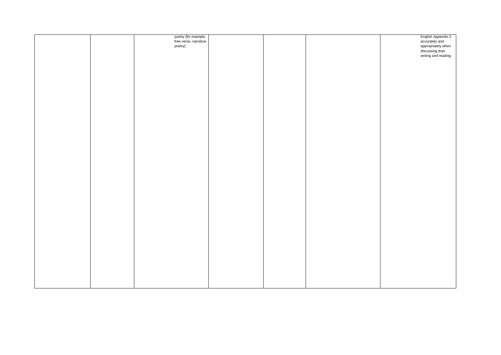|  | poetry [for example,<br>free verse, narrative |  | English Appendix 2<br>accurately and                                            |
|--|-----------------------------------------------|--|---------------------------------------------------------------------------------|
|  |                                               |  |                                                                                 |
|  | poetry]                                       |  |                                                                                 |
|  |                                               |  |                                                                                 |
|  |                                               |  | abstrate, and<br>appropriately when<br>discussing their<br>writing and reading. |
|  |                                               |  |                                                                                 |
|  |                                               |  |                                                                                 |
|  |                                               |  |                                                                                 |
|  |                                               |  |                                                                                 |
|  |                                               |  |                                                                                 |
|  |                                               |  |                                                                                 |
|  |                                               |  |                                                                                 |
|  |                                               |  |                                                                                 |
|  |                                               |  |                                                                                 |
|  |                                               |  |                                                                                 |
|  |                                               |  |                                                                                 |
|  |                                               |  |                                                                                 |
|  |                                               |  |                                                                                 |
|  |                                               |  |                                                                                 |
|  |                                               |  |                                                                                 |
|  |                                               |  |                                                                                 |
|  |                                               |  |                                                                                 |
|  |                                               |  |                                                                                 |
|  |                                               |  |                                                                                 |
|  |                                               |  |                                                                                 |
|  |                                               |  |                                                                                 |
|  |                                               |  |                                                                                 |
|  |                                               |  |                                                                                 |
|  |                                               |  |                                                                                 |
|  |                                               |  |                                                                                 |
|  |                                               |  |                                                                                 |
|  |                                               |  |                                                                                 |
|  |                                               |  |                                                                                 |
|  |                                               |  |                                                                                 |
|  |                                               |  |                                                                                 |
|  |                                               |  |                                                                                 |
|  |                                               |  |                                                                                 |
|  |                                               |  |                                                                                 |
|  |                                               |  |                                                                                 |
|  |                                               |  |                                                                                 |
|  |                                               |  |                                                                                 |
|  |                                               |  |                                                                                 |
|  |                                               |  |                                                                                 |
|  |                                               |  |                                                                                 |
|  |                                               |  |                                                                                 |
|  |                                               |  |                                                                                 |
|  |                                               |  |                                                                                 |
|  |                                               |  |                                                                                 |
|  |                                               |  |                                                                                 |
|  |                                               |  |                                                                                 |
|  |                                               |  |                                                                                 |
|  |                                               |  |                                                                                 |
|  |                                               |  |                                                                                 |
|  |                                               |  |                                                                                 |
|  |                                               |  |                                                                                 |
|  |                                               |  |                                                                                 |
|  |                                               |  |                                                                                 |
|  |                                               |  |                                                                                 |
|  |                                               |  |                                                                                 |
|  |                                               |  |                                                                                 |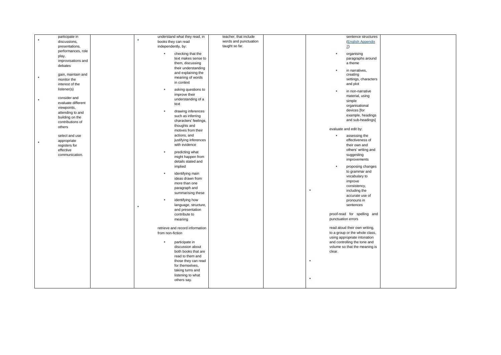| participate in          | understand what they read, in     | teacher, that include | sentence structures            |
|-------------------------|-----------------------------------|-----------------------|--------------------------------|
| discussions,            | a,<br>books they can read         | words and punctuation | <b>(English Appendix</b>       |
| presentations,          | independently, by:                | taught so far.        | $\overline{2}$                 |
| performances, role      |                                   |                       |                                |
|                         | checking that the                 |                       | organising                     |
| play,                   | text makes sense to               |                       | paragraphs around              |
| improvisations and      | them, discussing                  |                       | a theme                        |
| debates                 | their understanding               |                       |                                |
|                         | and explaining the                |                       | in narratives,<br>٠            |
| gain, maintain and      | meaning of words                  |                       | creating                       |
| monitor the             |                                   |                       | settings, characters           |
| interest of the         | in context                        |                       | and plot                       |
| listener(s)             | asking questions to               |                       |                                |
|                         | improve their                     |                       | in non-narrative               |
| consider and            | understanding of a                |                       | material, using                |
| ٠<br>evaluate different |                                   |                       | simple                         |
| viewpoints,             | text                              |                       | organisational                 |
| attending to and        | drawing inferences                |                       | devices [for                   |
|                         | such as inferring                 |                       | example, headings              |
| building on the         | characters' feelings,             |                       | and sub-headings]              |
| contributions of        | thoughts and                      |                       |                                |
| others                  | motives from their                |                       | evaluate and edit by:          |
|                         |                                   |                       |                                |
| select and use          | actions, and                      |                       | assessing the<br><b>COL</b>    |
| appropriate             | justifying inferences             |                       | effectiveness of               |
| registers for           | with evidence                     |                       | their own and                  |
| effective               | predicting what<br>×              |                       | others' writing and            |
| communication.          |                                   |                       | suggesting                     |
|                         | might happen from                 |                       | improvements                   |
|                         | details stated and                |                       |                                |
|                         | implied                           |                       | proposing changes              |
|                         | identifying main<br>×             |                       | to grammar and                 |
|                         | ideas drawn from                  |                       | vocabulary to                  |
|                         | more than one                     |                       | improve                        |
|                         | paragraph and                     |                       | consistency,                   |
|                         |                                   |                       | <b>CO</b><br>including the     |
|                         | summarising these                 |                       | accurate use of                |
|                         | identifying how<br>$\blacksquare$ |                       | pronouns in                    |
|                         | language, structure,              |                       | sentences                      |
|                         | ×<br>and presentation             |                       |                                |
|                         | contribute to                     |                       | proof-read for spelling and    |
|                         | meaning                           |                       | punctuation errors             |
|                         |                                   |                       |                                |
|                         | retrieve and record information   |                       | read aloud their own writing,  |
|                         | from non-fiction                  |                       | to a group or the whole class, |
|                         |                                   |                       | using appropriate intonation   |
|                         |                                   |                       | and controlling the tone and   |
|                         | participate in                    |                       |                                |
|                         | discussion about                  |                       | volume so that the meaning is  |
|                         | both books that are               |                       | clear.                         |
|                         | read to them and                  |                       |                                |
|                         | those they can read               |                       | ×                              |
|                         | for themselves,                   |                       |                                |
|                         | taking turns and                  |                       |                                |
|                         | listening to what                 |                       |                                |
|                         | others say.                       |                       | $\blacksquare$                 |
|                         |                                   |                       |                                |
|                         |                                   |                       |                                |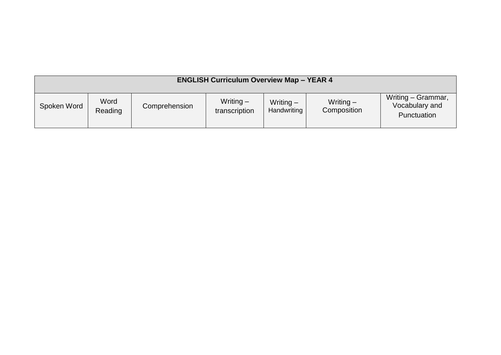| <b>ENGLISH Curriculum Overview Map - YEAR 4</b> |                 |               |                              |                            |                            |                                                     |  |  |  |  |
|-------------------------------------------------|-----------------|---------------|------------------------------|----------------------------|----------------------------|-----------------------------------------------------|--|--|--|--|
| Spoken Word                                     | Word<br>Reading | Comprehension | Writing $-$<br>transcription | Writing $-$<br>Handwriting | Writing $-$<br>Composition | Writing - Grammar,<br>Vocabulary and<br>Punctuation |  |  |  |  |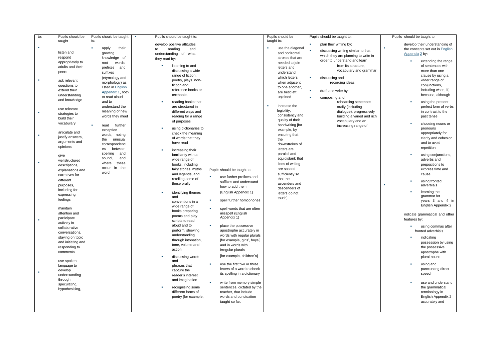| to: | Pupils should be             | Pupils should be taught          | Pupils should be taught to: |                                  | Pupils should be               | Pupils should be taught to:         | Pupils should be taught to:     |
|-----|------------------------------|----------------------------------|-----------------------------|----------------------------------|--------------------------------|-------------------------------------|---------------------------------|
|     | taught                       | to:                              | develop positive attitudes  |                                  | taught to:                     | plan their writing by:              | develop their understanding of  |
| ٠   |                              | ٠<br>their<br>apply              | to<br>reading<br>and        |                                  | use the diagonal               | ×.                                  | the concepts set out in English |
|     | listen and                   | growing                          | understanding of what       |                                  | and horizontal                 | discussing writing similar to that  | Appendix 2 by:                  |
|     | respond                      | knowledge of                     | they read by:               |                                  | strokes that are               | which they are planning to write in |                                 |
|     | appropriately to             | root<br>words,                   |                             |                                  | needed to join                 | order to understand and learn       | extending the range             |
|     | adults and their             | prefixes<br>and                  | listening to and            |                                  | letters and                    | from its structure,                 | of sentences with               |
|     | peers                        | suffixes                         | discussing a wide           |                                  | understand                     | vocabulary and grammar              | more than one                   |
|     |                              | (etymology and                   | range of fiction,           |                                  | which letters,                 | discussing and<br>٠                 | clause by using a               |
|     | ask relevant                 | morphology) as                   | poetry, plays, non-         |                                  | when adjacent                  | recording ideas                     | wider range of                  |
|     | questions to                 | listed in English                | fiction and                 |                                  | to one another,                |                                     | conjunctions,                   |
|     | extend their                 | Appendix 1, both                 | reference books or          |                                  | are best left                  | draft and write by:                 | including when, if,             |
|     | understanding                | to read aloud                    | textbooks                   |                                  | unjoined                       | composing and                       | because, although               |
|     | and knowledge                | and to                           | reading books that          |                                  |                                | rehearsing sentences                | using the present               |
|     | use relevant                 | understand the                   | are structured in           |                                  | ×<br>increase the              | orally (including                   | perfect form of verbs           |
|     | strategies to                | meaning of new                   | different ways and          |                                  | legibility,                    | dialogue), progressively            | in contrast to the              |
|     | build their                  | words they meet                  | reading for a range         |                                  | consistency and                | building a varied and rich          | past tense                      |
|     | vocabulary                   |                                  | of purposes                 |                                  | quality of their               | vocabulary and an                   | choosing nouns or               |
|     |                              | ×<br>read<br>further             | using dictionaries to       |                                  | handwriting [for               | increasing range of                 | pronouns                        |
|     | articulate and               | exception                        | check the meaning           |                                  | example, by                    |                                     | appropriately for               |
| ٠   | justify answers,             | words, noting                    | of words that they          |                                  | ensuring that                  |                                     | clarity and cohesion            |
|     | arguments and                | unusual<br>the                   | have read                   |                                  | the                            |                                     | and to avoid                    |
|     | opinions                     | correspondenc                    |                             |                                  | downstrokes of                 |                                     | repetition                      |
|     |                              | between<br>es                    | increasing their            |                                  | letters are                    |                                     |                                 |
|     | give                         | spelling<br>and<br>sound,<br>and | familiarity with a          |                                  | parallel and                   |                                     | using conjunctions,             |
|     | wellstructured               | these<br>where                   | wide range of               |                                  | equidistant; that              |                                     | adverbs and                     |
|     | descriptions,                | in the<br>occur                  | books, including            |                                  | lines of writing               |                                     | prepositions to                 |
|     | explanations and             | word.                            | fairy stories, myths        | Pupils should be taught to:      | are spaced                     |                                     | express time and                |
|     | narratives for               |                                  | and legends, and            | use further prefixes and<br>٠    | sufficiently so                |                                     | cause                           |
|     | different                    |                                  | retelling some of           | suffixes and understand          | that the                       |                                     | using fronted                   |
|     | purposes,                    |                                  | these orally                | how to add them                  | ascenders and<br>descenders of |                                     | adverbials                      |
|     | including for                |                                  | identifying themes          | (English Appendix 1)             | letters do not                 |                                     | learning the                    |
|     | expressing                   |                                  | and                         |                                  | touch].                        |                                     | grammar for                     |
|     | feelings                     |                                  | conventions in a            | spell further homophones         |                                |                                     | years 3 and 4 in                |
|     |                              |                                  | wide range of               |                                  |                                |                                     | English Appendix 2              |
|     | maintain                     |                                  | books preparing             | spell words that are often       |                                |                                     |                                 |
|     | attention and                |                                  | poems and play              | misspelt (English<br>Appendix 1) |                                |                                     | indicate grammatical and other  |
|     | participate                  |                                  | scripts to read             |                                  |                                |                                     | features by:                    |
|     | actively in<br>collaborative |                                  | aloud and to                | ٠<br>place the possessive        |                                |                                     | using commas after              |
|     | conversations,               |                                  | perform, showing            | apostrophe accurately in         |                                |                                     | fronted adverbials              |
|     | staying on topic             |                                  | understanding               | words with regular plurals       |                                |                                     | indicating                      |
|     | and initiating and           |                                  | through intonation,         | [for example, girls', boys']     |                                |                                     | possession by using             |
|     | responding to                |                                  | tone, volume and            | and in words with                |                                |                                     | the possessive                  |
|     | comments                     |                                  | action                      | irregular plurals                |                                |                                     | apostrophe with                 |
|     |                              |                                  | discussing words<br>٠       | [for example, children's]        |                                |                                     | plural nouns                    |
|     | use spoken                   |                                  | and                         |                                  |                                |                                     |                                 |
|     | language to                  |                                  | phrases that                | use the first two or three<br>٠  |                                |                                     | using and                       |
|     | develop                      |                                  | capture the                 | letters of a word to check       |                                |                                     | punctuating direct              |
|     | understanding                |                                  | reader's interest           | its spelling in a dictionary     |                                |                                     | speech                          |
|     | through                      |                                  | and imagination             | write from memory simple         |                                |                                     | use and understand              |
|     | speculating,                 |                                  | recognising some            | sentences, dictated by the       |                                |                                     | the grammatical                 |
|     | hypothesising,               |                                  | different forms of          | teacher, that include            |                                |                                     | terminology in                  |
|     |                              |                                  | poetry [for example,        | words and punctuation            |                                |                                     | English Appendix 2              |
|     |                              |                                  |                             | taught so far.                   |                                |                                     | accurately and                  |
|     |                              |                                  |                             |                                  |                                |                                     |                                 |
|     |                              |                                  |                             |                                  |                                |                                     |                                 |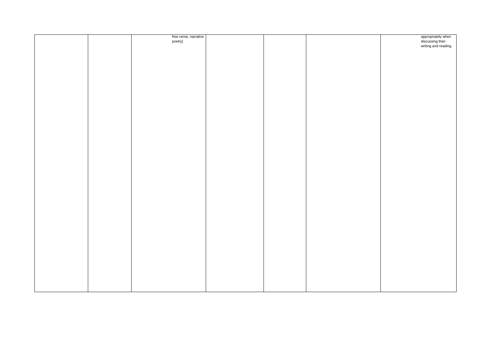|  | free verse, narrative |  | appropriately when   |
|--|-----------------------|--|----------------------|
|  | poetry]               |  | discussing their     |
|  |                       |  |                      |
|  |                       |  | writing and reading. |
|  |                       |  |                      |
|  |                       |  |                      |
|  |                       |  |                      |
|  |                       |  |                      |
|  |                       |  |                      |
|  |                       |  |                      |
|  |                       |  |                      |
|  |                       |  |                      |
|  |                       |  |                      |
|  |                       |  |                      |
|  |                       |  |                      |
|  |                       |  |                      |
|  |                       |  |                      |
|  |                       |  |                      |
|  |                       |  |                      |
|  |                       |  |                      |
|  |                       |  |                      |
|  |                       |  |                      |
|  |                       |  |                      |
|  |                       |  |                      |
|  |                       |  |                      |
|  |                       |  |                      |
|  |                       |  |                      |
|  |                       |  |                      |
|  |                       |  |                      |
|  |                       |  |                      |
|  |                       |  |                      |
|  |                       |  |                      |
|  |                       |  |                      |
|  |                       |  |                      |
|  |                       |  |                      |
|  |                       |  |                      |
|  |                       |  |                      |
|  |                       |  |                      |
|  |                       |  |                      |
|  |                       |  |                      |
|  |                       |  |                      |
|  |                       |  |                      |
|  |                       |  |                      |
|  |                       |  |                      |
|  |                       |  |                      |
|  |                       |  |                      |
|  |                       |  |                      |
|  |                       |  |                      |
|  |                       |  |                      |
|  |                       |  |                      |
|  |                       |  |                      |
|  |                       |  |                      |
|  |                       |  |                      |
|  |                       |  |                      |
|  |                       |  |                      |
|  |                       |  |                      |
|  |                       |  |                      |
|  |                       |  |                      |
|  |                       |  |                      |
|  |                       |  |                      |
|  |                       |  |                      |
|  |                       |  |                      |
|  |                       |  |                      |
|  |                       |  |                      |
|  |                       |  |                      |
|  |                       |  |                      |
|  |                       |  |                      |
|  |                       |  |                      |
|  |                       |  |                      |
|  |                       |  |                      |
|  |                       |  |                      |
|  |                       |  |                      |
|  |                       |  |                      |
|  |                       |  |                      |
|  |                       |  |                      |
|  |                       |  |                      |
|  |                       |  |                      |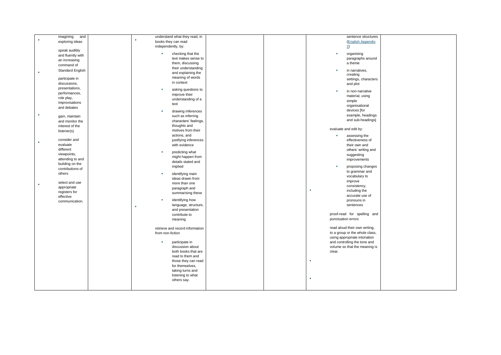| imagining<br>and        | understand what they read, in     | sentence structures            |
|-------------------------|-----------------------------------|--------------------------------|
| exploring ideas         | books they can read               | (English Appendix              |
|                         |                                   |                                |
|                         | independently, by:                | $\overline{2}$                 |
| speak audibly           | checking that the<br>$\mathbf{u}$ | organising                     |
| and fluently with       | text makes sense to               | paragraphs around              |
| an increasing           |                                   |                                |
| command of              | them, discussing                  | a theme                        |
| <b>Standard English</b> | their understanding               | in narratives,<br>×            |
| ٠                       | and explaining the                | creating                       |
| participate in          | meaning of words                  | settings, characters           |
| discussions,            | in context                        |                                |
|                         |                                   | and plot                       |
| presentations,          | asking questions to<br>×          | in non-narrative<br>×          |
| performances,           | improve their                     | material, using                |
| role play,              | understanding of a                | simple                         |
| improvisations          | text                              |                                |
| and debates             |                                   | organisational                 |
|                         | drawing inferences<br>×           | devices [for                   |
| ٠<br>gain, maintain     | such as inferring                 | example, headings              |
| and monitor the         | characters' feelings,             | and sub-headings]              |
| interest of the         | thoughts and                      |                                |
|                         | motives from their                | evaluate and edit by:          |
| listener(s)             |                                   |                                |
|                         | actions, and                      | assessing the<br>×             |
| consider and            | justifying inferences             | effectiveness of               |
| evaluate                | with evidence                     | their own and                  |
| different               | predicting what<br>$\mathbf{u}$   | others' writing and            |
| viewpoints,             |                                   | suggesting                     |
| attending to and        | might happen from                 | improvements                   |
| building on the         | details stated and                |                                |
| contributions of        | implied                           | proposing changes<br>×         |
| others                  | identifying main<br>×             | to grammar and                 |
|                         |                                   | vocabulary to                  |
|                         | ideas drawn from                  | improve                        |
| select and use          | more than one                     | consistency,                   |
| appropriate             | paragraph and                     | ×<br>including the             |
| registers for           | summarising these                 |                                |
| effective               |                                   | accurate use of                |
| communication.          | identifying how<br>×              | pronouns in                    |
|                         | language, structure,              | sentences                      |
|                         | and presentation                  |                                |
|                         | contribute to                     | proof-read for spelling and    |
|                         | meaning                           | punctuation errors             |
|                         |                                   |                                |
|                         | retrieve and record information   | read aloud their own writing,  |
|                         | from non-fiction                  | to a group or the whole class, |
|                         |                                   | using appropriate intonation   |
|                         | participate in<br>×               | and controlling the tone and   |
|                         | discussion about                  | volume so that the meaning is  |
|                         | both books that are               | clear.                         |
|                         |                                   |                                |
|                         | read to them and                  |                                |
|                         | those they can read               | ×                              |
|                         | for themselves,                   |                                |
|                         | taking turns and                  |                                |
|                         | listening to what                 |                                |
|                         | others say.                       | ×                              |
|                         |                                   |                                |
|                         |                                   |                                |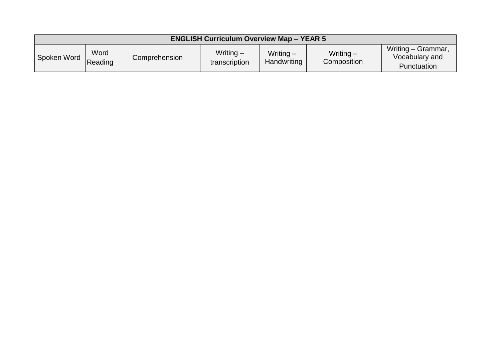| <b>ENGLISH Curriculum Overview Map - YEAR 5</b> |                 |               |                              |                            |                          |                                                     |  |  |  |
|-------------------------------------------------|-----------------|---------------|------------------------------|----------------------------|--------------------------|-----------------------------------------------------|--|--|--|
| Spoken Word                                     | Word<br>Reading | Comprehension | Writing $-$<br>transcription | Writing $-$<br>Handwriting | Writing -<br>Composition | Writing - Grammar,<br>Vocabulary and<br>Punctuation |  |  |  |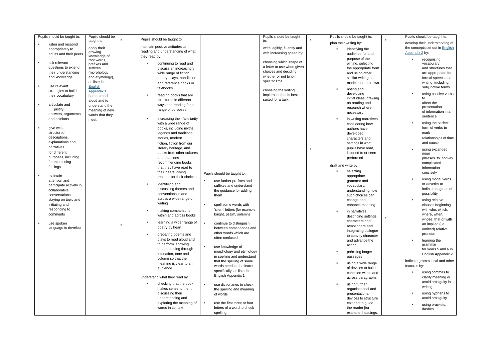| Pupils should be taught to:       | Pupils should be            | Pupils should be taught to:         |                                                   | Pupils should be taught     | Pupils should be taught to: | Pupils should be taught to:     |
|-----------------------------------|-----------------------------|-------------------------------------|---------------------------------------------------|-----------------------------|-----------------------------|---------------------------------|
| listen and respond                | taught to:                  |                                     |                                                   | to:                         | plan their writing by:      | develop their understanding of  |
| appropriately to                  | apply their                 | maintain positive attitudes to      |                                                   | write legibly, fluently and | identifying the             | the concepts set out in English |
| adults and their peers            | growing                     | reading and understanding of what   |                                                   | with increasing speed by:   | audience for and            | Appendix 2 by:                  |
|                                   | knowledge of                | they read by:                       |                                                   |                             | purpose of the              | recognising                     |
| ask relevant<br>×                 | root words,<br>prefixes and | continuing to read and              |                                                   | choosing which shape of     | writing, selecting          | vocabulary                      |
| questions to extend               | suffixes                    | discuss an increasingly             |                                                   | a letter to use when given  | the appropriate form        | and structures that             |
| their understanding               | (morphology                 | wide range of fiction,              |                                                   | choices and deciding        | and using other             | are appropriate for             |
| and knowledge                     | and etymology),             | poetry, plays, non-fiction          |                                                   | whether or not to join      | similar writing as          | formal speech and               |
|                                   | as listed in                |                                     |                                                   | specific little             | models for their own        | writing, including              |
| use relevant                      | English                     | and reference books or<br>textbooks |                                                   |                             |                             | subjunctive forms               |
| strategies to build               | Appendix 1                  |                                     |                                                   | choosing the writing        | noting and<br>×             |                                 |
| their vocabulary                  | both to read                | reading books that are              |                                                   | implement that is best      | developing                  | using passive verbs             |
|                                   | aloud and to                | structured in different             |                                                   | suited for a task.          | initial ideas, drawing      | to                              |
| articulate and<br>×               | understand the              | ways and reading for a              |                                                   |                             | on reading and              | affect the<br>presentation      |
| justify                           | meaning of new              | range of purposes                   |                                                   |                             | research where              | of information in a             |
| answers, arguments                | words that they             |                                     |                                                   |                             | necessary                   | sentence                        |
| and opinions                      | meet.                       | increasing their familiarity        |                                                   |                             | in writing narratives,      |                                 |
|                                   |                             | with a wide range of                |                                                   |                             | considering how             | using the perfect               |
| give well-<br>×                   |                             | books, including myths,             |                                                   |                             | authors have                | form of verbs to                |
| structured                        |                             | legends and traditional             |                                                   |                             | developed                   | mark                            |
| descriptions,                     |                             | stories, modern                     |                                                   |                             | characters and              | relationships of time           |
| explanations and                  |                             | fiction, fiction from our           |                                                   |                             | settings in what            | and cause                       |
| narratives                        |                             | literary heritage, and              |                                                   |                             | pupils have read,           | using expanded                  |
| for different                     |                             | books from other cultures           |                                                   |                             | listened to or seen         | noun                            |
| purposes, including               |                             | and traditions                      |                                                   |                             | performed                   | phrases to convey               |
| for expressing                    |                             | recommending books                  |                                                   |                             |                             | complicated                     |
| feelings                          |                             | that they have read to              |                                                   |                             | draft and write by:         | information                     |
|                                   |                             | their peers, giving                 | Pupils should be taught to:                       |                             | à.<br>selecting             | concisely                       |
| maintain<br>×                     |                             | reasons for their choices           |                                                   |                             | appropriate                 | using modal verbs               |
| attention and                     |                             | identifying and                     | use further prefixes and                          |                             | grammar and                 | or adverbs to                   |
| participate actively in           |                             | discussing themes and               | suffixes and understand                           |                             | vocabulary,                 | indicate degrees of             |
| collaborative                     |                             | conventions in and                  | the guidance for adding                           |                             | understanding how           | possibility                     |
| conversations,                    |                             | across a wide range of              | them                                              |                             | such choices can            |                                 |
| staying on topic and              |                             | writing                             |                                                   |                             | change and                  | using relative                  |
| initiating and                    |                             |                                     | ×<br>spell some words with                        |                             | enhance meaning             | clauses beginning               |
| responding to                     |                             | making comparisons                  | 'silent' letters [for example,                    |                             | in narratives,              | with who, which,                |
| comments                          |                             | within and across books             | knight, psalm, solemn]                            |                             | describing settings,        | where, when,                    |
| ×                                 |                             | learning a wider range of           | ×                                                 |                             | characters and              | whose, that or with             |
| use spoken<br>language to develop |                             | poetry by heart                     | continue to distinguish<br>between homophones and |                             | atmosphere and              | an implied (i.e.                |
|                                   |                             |                                     | other words which are                             |                             | integrating dialogue        | omitted) relative               |
|                                   |                             | ×<br>preparing poems and            | often confused                                    |                             | to convey character         | pronoun                         |
|                                   |                             | plays to read aloud and             |                                                   |                             | and advance the             | learning the                    |
|                                   |                             | to perform, showing                 | ×<br>use knowledge of                             |                             | action                      | grammar                         |
|                                   |                             | understanding through               | morphology and etymology                          |                             | précising longer<br>a,      | for years 5 and 6 in            |
|                                   |                             | intonation, tone and                | in spelling and understand                        |                             | passages                    | English Appendix 2              |
|                                   |                             | volume so that the                  | that the spelling of some                         |                             |                             | indicate grammatical and other  |
|                                   |                             | meaning is clear to an              | words needs to be learnt                          |                             | using a wide range          | features by:                    |
|                                   |                             | audience                            | specifically, as listed in                        |                             | of devices to build         |                                 |
|                                   |                             |                                     | English Appendix 1                                |                             | cohesion within and         | ٠<br>using commas to            |
|                                   |                             | understand what they read by:       |                                                   |                             | across paragraphs           | clarify meaning or              |
|                                   |                             | checking that the book              | ×<br>use dictionaries to check                    |                             | a,<br>using further         | avoid ambiguity in<br>writing   |
|                                   |                             | makes sense to them.                | the spelling and meaning                          |                             | organisational and          |                                 |
|                                   |                             | discussing their                    | of words                                          |                             | presentational              | using hyphens to                |
|                                   |                             | understanding and                   |                                                   |                             | devices to structure        | avoid ambiguity                 |
|                                   |                             | exploring the meaning of            | ×<br>use the first three or four                  |                             | text and to guide           | using brackets,                 |
|                                   |                             | words in context                    | letters of a word to check                        |                             | the reader [for             | dashes                          |
|                                   |                             |                                     | spelling,                                         |                             | example, headings,          |                                 |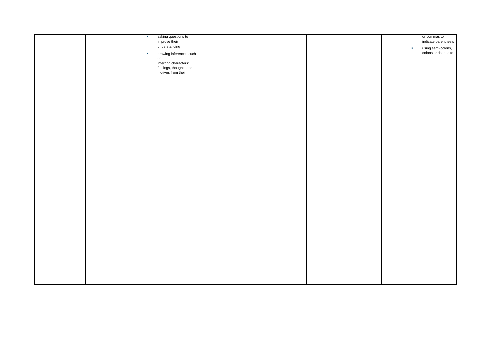|  | $\mathcal{F}_{\mathcal{F}}$ | asking questions to           |  |    | or commas to                              |
|--|-----------------------------|-------------------------------|--|----|-------------------------------------------|
|  |                             | improve their                 |  |    | indicate parenthesis                      |
|  |                             | understanding                 |  | ×. |                                           |
|  |                             |                               |  |    | using semi-colons,<br>colons or dashes to |
|  | $\sim$                      | drawing inferences such<br>as |  |    |                                           |
|  |                             |                               |  |    |                                           |
|  |                             | inferring characters'         |  |    |                                           |
|  |                             | feelings, thoughts and        |  |    |                                           |
|  |                             | motives from their            |  |    |                                           |
|  |                             |                               |  |    |                                           |
|  |                             |                               |  |    |                                           |
|  |                             |                               |  |    |                                           |
|  |                             |                               |  |    |                                           |
|  |                             |                               |  |    |                                           |
|  |                             |                               |  |    |                                           |
|  |                             |                               |  |    |                                           |
|  |                             |                               |  |    |                                           |
|  |                             |                               |  |    |                                           |
|  |                             |                               |  |    |                                           |
|  |                             |                               |  |    |                                           |
|  |                             |                               |  |    |                                           |
|  |                             |                               |  |    |                                           |
|  |                             |                               |  |    |                                           |
|  |                             |                               |  |    |                                           |
|  |                             |                               |  |    |                                           |
|  |                             |                               |  |    |                                           |
|  |                             |                               |  |    |                                           |
|  |                             |                               |  |    |                                           |
|  |                             |                               |  |    |                                           |
|  |                             |                               |  |    |                                           |
|  |                             |                               |  |    |                                           |
|  |                             |                               |  |    |                                           |
|  |                             |                               |  |    |                                           |
|  |                             |                               |  |    |                                           |
|  |                             |                               |  |    |                                           |
|  |                             |                               |  |    |                                           |
|  |                             |                               |  |    |                                           |
|  |                             |                               |  |    |                                           |
|  |                             |                               |  |    |                                           |
|  |                             |                               |  |    |                                           |
|  |                             |                               |  |    |                                           |
|  |                             |                               |  |    |                                           |
|  |                             |                               |  |    |                                           |
|  |                             |                               |  |    |                                           |
|  |                             |                               |  |    |                                           |
|  |                             |                               |  |    |                                           |
|  |                             |                               |  |    |                                           |
|  |                             |                               |  |    |                                           |
|  |                             |                               |  |    |                                           |
|  |                             |                               |  |    |                                           |
|  |                             |                               |  |    |                                           |
|  |                             |                               |  |    |                                           |
|  |                             |                               |  |    |                                           |
|  |                             |                               |  |    |                                           |
|  |                             |                               |  |    |                                           |
|  |                             |                               |  |    |                                           |
|  |                             |                               |  |    |                                           |
|  |                             |                               |  |    |                                           |
|  |                             |                               |  |    |                                           |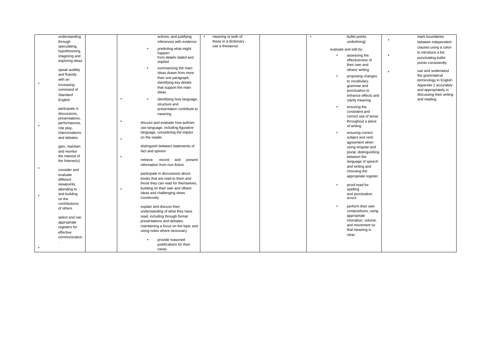|   | understanding   | actions, and justifying                    | meaning or both of<br>a. | bullet points,                | mark boundaries          |
|---|-----------------|--------------------------------------------|--------------------------|-------------------------------|--------------------------|
|   | through         | inferences with evidence                   | these in a dictionary    | underlining]                  | between independent      |
|   | speculating,    | ×                                          | use a thesaurus.         |                               | clauses using a colon    |
|   | hypothesising,  | predicting what might<br>happen            |                          | evaluate and edit by:         | to introduce a list      |
|   | imagining and   | from details stated and                    |                          | assessing the                 | ×                        |
|   | exploring ideas | implied                                    |                          | effectiveness of              | punctuating bullet       |
|   |                 |                                            |                          | their own and                 | points consistently      |
|   | speak audibly   | summarising the main<br>×                  |                          | others' writing               | use and understand       |
|   | and fluently    | ideas drawn from more                      |                          |                               | ٠                        |
|   | with an         | than one paragraph,                        |                          | proposing changes<br><b>B</b> | the grammatical          |
| × |                 | identifying key details                    |                          | to vocabulary,                | terminology in English   |
|   | increasing      | that support the main                      |                          | grammar and                   | Appendix 2 accurately    |
|   | command of      | ideas                                      |                          | punctuation to                | and appropriately in     |
|   | Standard        |                                            |                          | enhance effects and           | discussing their writing |
|   | English         | ٠<br>identifying how language,<br><b>B</b> |                          | clarify meaning               | and reading.             |
|   |                 | structure and                              |                          | $\mathbf{u}$                  |                          |
|   | participate in  | presentation contribute to                 |                          | ensuring the                  |                          |
|   | discussions,    | meaning                                    |                          | consistent and                |                          |
|   | presentations,  |                                            |                          | correct use of tense          |                          |
|   | performances,   | ٠<br>discuss and evaluate how authors      |                          | throughout a piece            |                          |
|   | role play,      | use language, including figurative         |                          | of writing                    |                          |
|   | improvisations  | language, considering the impact           |                          | ensuring correct<br>×         |                          |
|   | and debates     | on the reader                              |                          | subject and verb              |                          |
|   |                 | ٠                                          |                          |                               |                          |
|   | gain, maintain  | distinguish between statements of          |                          | agreement when                |                          |
|   |                 | fact and opinion                           |                          | using singular and            |                          |
|   | and monitor     |                                            |                          | plural, distinguishing        |                          |
|   | the interest of | ٠<br>retrieve, record<br>and<br>present    |                          | between the                   |                          |
|   | the listener(s) | information from non-fiction               |                          | language of speech            |                          |
| ٠ |                 |                                            |                          | and writing and               |                          |
|   | consider and    | participate in discussions about           |                          | choosing the                  |                          |
|   | evaluate        |                                            |                          | appropriate register          |                          |
|   | different       | books that are read to them and            |                          |                               |                          |
|   | viewpoints,     | those they can read for themselves,        |                          | proof-read for<br>×           |                          |
|   | attending to    | building on their own and others'<br>×     |                          | spelling                      |                          |
|   | and building    | ideas and challenging views                |                          | and punctuation               |                          |
|   | on the          | courteously                                |                          | errors                        |                          |
|   | contributions   |                                            |                          |                               |                          |
|   | of others       | explain and discuss their                  |                          | perform their own<br>×        |                          |
|   |                 | understanding of what they have            |                          | compositions, using           |                          |
|   | select and use  | read, including through formal             |                          | appropriate                   |                          |
|   | appropriate     | presentations and debates,                 |                          | intonation, volume,           |                          |
|   | registers for   | maintaining a focus on the topic and       |                          | and movement so               |                          |
|   |                 | using notes where necessary                |                          | that meaning is               |                          |
|   | effective       |                                            |                          | clear.                        |                          |
|   | communication   | provide reasoned                           |                          |                               |                          |
|   |                 | justifications for their                   |                          |                               |                          |
|   |                 | views.                                     |                          |                               |                          |
|   |                 |                                            |                          |                               |                          |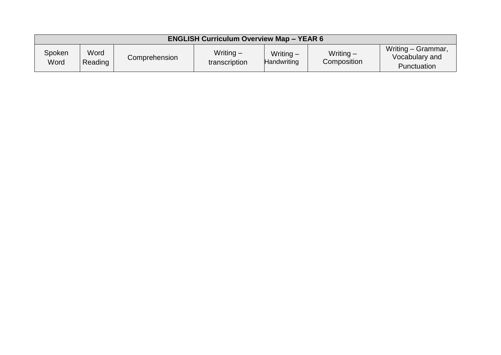| <b>ENGLISH Curriculum Overview Map - YEAR 6</b> |                 |               |                              |                                   |                            |                                                            |  |  |  |
|-------------------------------------------------|-----------------|---------------|------------------------------|-----------------------------------|----------------------------|------------------------------------------------------------|--|--|--|
| Spoken<br>Word                                  | Word<br>Reading | Comprehension | Writing $-$<br>transcription | Writing $-$<br><b>Handwriting</b> | Writing $-$<br>Composition | Writing - Grammar,<br>Vocabulary and<br><b>Punctuation</b> |  |  |  |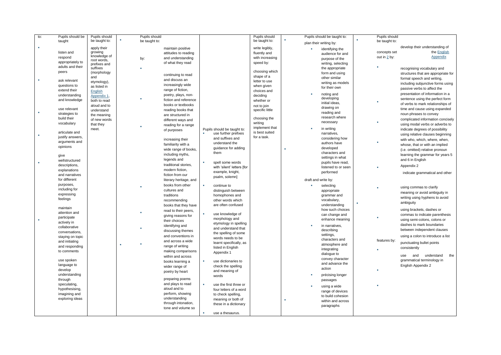| to: | Pupils should be | Pupils should          | Pupils should |                        |    |                             | Pupils should   |  | Pupils should be taught to: | Pupils should  |                                     |
|-----|------------------|------------------------|---------------|------------------------|----|-----------------------------|-----------------|--|-----------------------------|----------------|-------------------------------------|
|     | taught           | be taught to:          | be taught to: |                        |    |                             | be taught to:   |  | plan their writing by:      | be taught to:  |                                     |
| ٠   |                  |                        |               |                        |    |                             |                 |  |                             |                | develop their understanding of      |
|     |                  | apply their<br>growing |               | maintain positive      |    |                             | write legibly,  |  | identifying the             | concepts set   | the English                         |
|     | listen and       | knowledge of           |               | attitudes to reading   |    |                             | fluently and    |  | audience for and            |                | Appendix                            |
|     | respond          | root words,            | by:           | and understanding      |    |                             | with increasing |  | purpose of the              | out in $2$ by: |                                     |
|     | appropriately to | prefixes and           |               | of what they read      |    |                             | speed by:       |  | writing, selecting          |                |                                     |
|     | adults and their | suffixes               |               |                        |    |                             |                 |  | the appropriate             |                | recognising vocabulary and          |
|     | peers            | (morphology            |               | continuing to read     |    |                             | choosing which  |  | form and using              |                | structures that are appropriate for |
|     |                  | and                    |               | and discuss an         |    |                             | shape of a      |  | other similar               |                | formal speech and writing,          |
|     | ask relevant     | etymology),            |               |                        |    |                             | letter to use   |  | writing as models           |                | including subjunctive forms using   |
|     | questions to     | as listed in           |               | increasingly wide      |    |                             | when given      |  | for their own               |                | passive verbs to affect the         |
|     | extend their     | English                |               | range of fiction,      |    |                             | choices and     |  |                             |                | presentation of information in a    |
|     | understanding    | Appendix 1,            |               | poetry, plays, non-    |    |                             | deciding        |  | noting and<br>developing    |                |                                     |
|     | and knowledge    | both to read           |               | fiction and reference  |    |                             | whether or      |  | initial ideas,              |                | sentence using the perfect form     |
|     |                  | aloud and to           |               | books or textbooks     |    |                             | not to join     |  |                             |                | of verbs to mark relationships of   |
|     | use relevant     | understand             |               | reading books that     |    |                             | specific little |  | drawing on                  |                | time and cause using expanded       |
|     | strategies to    | the meaning            |               | are structured in      |    |                             |                 |  | reading and                 |                | noun phrases to convey              |
|     | build their      | of new words           |               | different ways and     |    |                             | choosing the    |  | research where              |                | complicated information concisely   |
|     | vocabulary       | that they              |               | reading for a range    |    |                             | writing         |  | necessary                   | ×              | using modal verbs or adverbs to     |
|     |                  | meet.                  |               | of purposes            |    | Pupils should be taught to: | implement that  |  | in writing                  |                | indicate degrees of possibility     |
|     | articulate and   |                        |               |                        |    | use further prefixes        | is best suited  |  | narratives,                 |                | using relative clauses beginning    |
|     | justify answers, |                        |               | increasing their       |    | and suffixes and            | for a task.     |  | considering how             |                | with who, which, where, when,       |
|     | arguments and    |                        |               | familiarity with a     |    | understand the              |                 |  | authors have                |                | whose, that or with an implied      |
|     | opinions         |                        |               |                        |    | guidance for adding         |                 |  | developed                   |                |                                     |
|     |                  |                        |               | wide range of books,   |    | them                        |                 |  | characters and              |                | (i.e. omitted) relative pronoun     |
|     | give             |                        |               | including myths,       |    |                             |                 |  | settings in what            |                | learning the grammar for years 5    |
|     | wellstructured   |                        |               | legends and            |    | spell some words            |                 |  | pupils have read,           |                | and 6 in English                    |
|     | descriptions,    |                        |               | traditional stories,   |    | with 'silent' letters [for  |                 |  | listened to or seen         |                | Appendix 2                          |
|     | explanations     |                        |               | modern fiction,        |    | example, knight,            |                 |  | performed                   |                |                                     |
|     | and narratives   |                        |               | fiction from our       |    | psalm, solemn]              |                 |  |                             |                | indicate grammatical and other      |
|     | for different    |                        |               | literary heritage, and |    |                             |                 |  | draft and write by:         |                |                                     |
|     | purposes,        |                        |               | books from other       | ×. | continue to                 |                 |  | selecting                   |                |                                     |
|     | including for    |                        |               | cultures and           |    | distinguish between         |                 |  | appropriate                 |                | using commas to clarify             |
|     | expressing       |                        |               | traditions             |    | homophones and              |                 |  | grammar and                 |                | meaning or avoid ambiguity in       |
|     | feelings         |                        |               | recommending           |    | other words which           |                 |  | vocabulary,                 |                | writing using hyphens to avoid      |
|     |                  |                        |               |                        |    | are often confused          |                 |  | understanding               |                | ambiguity                           |
|     | maintain         |                        |               | books that they have   |    |                             |                 |  | how such choices            |                | using brackets, dashes or           |
|     | attention and    |                        |               | read to their peers,   |    | use knowledge of            |                 |  | can change and              |                | commas to indicate parenthesis      |
|     | participate      |                        |               | giving reasons for     |    | morphology and              |                 |  | enhance meaning             | ×              |                                     |
| ×   | actively in      |                        |               | their choices          |    | etymology in spelling       |                 |  |                             |                | using semi-colons, colons or        |
|     | collaborative    |                        |               | identifying and        |    | and understand that         |                 |  | in narratives,              |                | dashes to mark boundaries           |
|     | conversations,   |                        |               | discussing themes      |    | the spelling of some        |                 |  | describing                  |                | between independent clauses         |
|     | staying on topic |                        |               | and conventions in     |    | words needs to be           |                 |  | settings,                   |                | using a colon to introduce a list   |
|     | and initiating   |                        |               | and across a wide      |    | learnt specifically, as     |                 |  | characters and              | features by:   | punctuating bullet points           |
|     | and responding   |                        |               | range of writing       |    |                             |                 |  | atmosphere and              |                |                                     |
|     | to comments      |                        |               | making comparisons     |    | listed in English           |                 |  | integrating                 |                | consistently                        |
|     |                  |                        |               | within and across      |    | Appendix 1                  |                 |  | dialogue to                 |                | and<br>understand<br>the<br>use     |
|     | use spoken       |                        |               |                        | ×  | use dictionaries to         |                 |  | convey character            |                | grammatical terminology in          |
|     | language to      |                        |               | books learning a       |    | check the spelling          |                 |  | and advance the             |                | English Appendix 2                  |
|     | develop          |                        |               | wider range of         |    |                             |                 |  | action                      |                |                                     |
|     | understanding    |                        |               | poetry by heart        |    | and meaning of              |                 |  | précising longer            |                |                                     |
|     | through          |                        |               | preparing poems        |    | words                       |                 |  | passages                    |                |                                     |
|     | speculating,     |                        |               | and plays to read      | ×  | use the first three or      |                 |  |                             |                |                                     |
|     | hypothesising,   |                        |               | aloud and to           |    |                             |                 |  | using a wide                |                |                                     |
|     | imagining and    |                        |               | perform, showing       |    | four letters of a word      |                 |  | range of devices            |                |                                     |
|     | exploring ideas  |                        |               | understanding          |    | to check spelling,          |                 |  | to build cohesion           |                |                                     |
|     |                  |                        |               | through intonation,    |    | meaning or both of          |                 |  | within and across           |                |                                     |
|     |                  |                        |               | tone and volume so     |    | these in a dictionary       |                 |  | paragraphs                  |                |                                     |
|     |                  |                        |               |                        |    |                             |                 |  |                             |                |                                     |
|     |                  |                        |               |                        |    | use a thesaurus.            |                 |  |                             |                |                                     |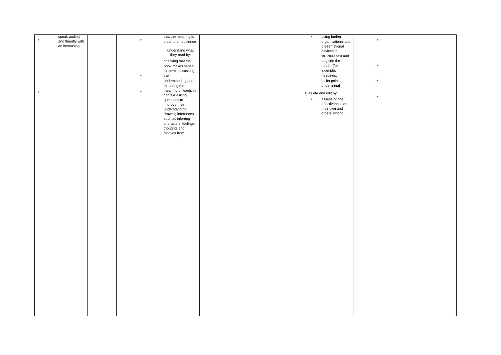| speak audibly     | that the meaning is<br>٠ | using further<br>×<br>$\bullet$ |  |
|-------------------|--------------------------|---------------------------------|--|
| and fluently with | clear to an audience     | organisational and              |  |
| an increasing     |                          | presentational                  |  |
|                   | understand what          |                                 |  |
|                   |                          | devices to                      |  |
|                   | they read by:            | structure text and              |  |
|                   |                          | to guide the                    |  |
|                   | checking that the        |                                 |  |
|                   | book makes sense         | reader [for<br>×                |  |
|                   | to them, discussing      | example,                        |  |
|                   | ٠                        | headings,                       |  |
|                   | their                    |                                 |  |
|                   | understanding and        | bullet points,<br>×             |  |
|                   | exploring the            | underlining]                    |  |
|                   |                          |                                 |  |
| $\mathbf{r}$      | meaning of words in<br>٠ |                                 |  |
|                   | context asking           | evaluate and edit by:<br>×      |  |
|                   | questions to             | $\mathbf{r}$<br>assessing the   |  |
|                   |                          | effectiveness of                |  |
|                   | improve their            |                                 |  |
|                   | understanding            | their own and                   |  |
|                   | drawing inferences       | others' writing                 |  |
|                   |                          |                                 |  |
|                   | such as inferring        |                                 |  |
|                   | characters' feelings,    |                                 |  |
|                   | thoughts and             |                                 |  |
|                   |                          |                                 |  |
|                   | motives from             |                                 |  |
|                   |                          |                                 |  |
|                   |                          |                                 |  |
|                   |                          |                                 |  |
|                   |                          |                                 |  |
|                   |                          |                                 |  |
|                   |                          |                                 |  |
|                   |                          |                                 |  |
|                   |                          |                                 |  |
|                   |                          |                                 |  |
|                   |                          |                                 |  |
|                   |                          |                                 |  |
|                   |                          |                                 |  |
|                   |                          |                                 |  |
|                   |                          |                                 |  |
|                   |                          |                                 |  |
|                   |                          |                                 |  |
|                   |                          |                                 |  |
|                   |                          |                                 |  |
|                   |                          |                                 |  |
|                   |                          |                                 |  |
|                   |                          |                                 |  |
|                   |                          |                                 |  |
|                   |                          |                                 |  |
|                   |                          |                                 |  |
|                   |                          |                                 |  |
|                   |                          |                                 |  |
|                   |                          |                                 |  |
|                   |                          |                                 |  |
|                   |                          |                                 |  |
|                   |                          |                                 |  |
|                   |                          |                                 |  |
|                   |                          |                                 |  |
|                   |                          |                                 |  |
|                   |                          |                                 |  |
|                   |                          |                                 |  |
|                   |                          |                                 |  |
|                   |                          |                                 |  |
|                   |                          |                                 |  |
|                   |                          |                                 |  |
|                   |                          |                                 |  |
|                   |                          |                                 |  |
|                   |                          |                                 |  |
|                   |                          |                                 |  |
|                   |                          |                                 |  |
|                   |                          |                                 |  |
|                   |                          |                                 |  |
|                   |                          |                                 |  |
|                   |                          |                                 |  |
|                   |                          |                                 |  |